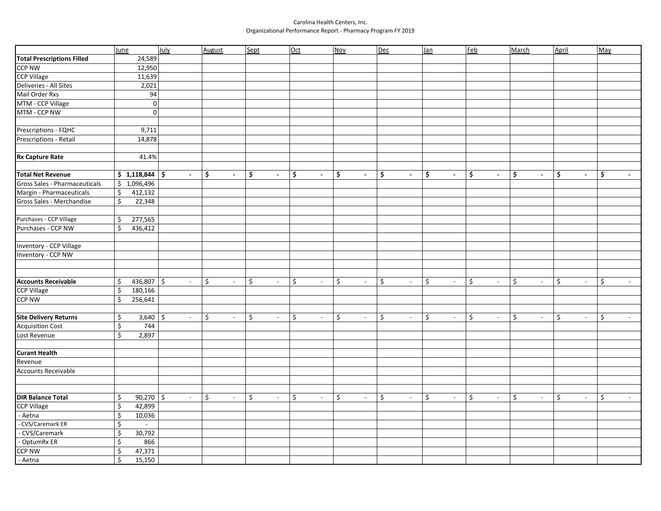## Carolina Health Centers, Inc. Organizational Performance Report - Pharmacy Program FY 2019

|                                   | June                            | July                     | August       | Sept                           | Oct                               | <b>Nov</b>                     | Dec                  | Jan                  | Eeb                               | March                          | April                | May                            |
|-----------------------------------|---------------------------------|--------------------------|--------------|--------------------------------|-----------------------------------|--------------------------------|----------------------|----------------------|-----------------------------------|--------------------------------|----------------------|--------------------------------|
| <b>Total Prescriptions Filled</b> | 24,589                          |                          |              |                                |                                   |                                |                      |                      |                                   |                                |                      |                                |
| <b>CCP NW</b>                     | 12,950                          |                          |              |                                |                                   |                                |                      |                      |                                   |                                |                      |                                |
| <b>CCP Village</b>                | 11,639                          |                          |              |                                |                                   |                                |                      |                      |                                   |                                |                      |                                |
| Deliveries - All Sites            | 2,021                           |                          |              |                                |                                   |                                |                      |                      |                                   |                                |                      |                                |
| Mail Order Rxs                    | 94                              |                          |              |                                |                                   |                                |                      |                      |                                   |                                |                      |                                |
| MTM - CCP Village                 | $\overline{0}$                  |                          |              |                                |                                   |                                |                      |                      |                                   |                                |                      |                                |
| MTM - CCP NW                      | $\overline{0}$                  |                          |              |                                |                                   |                                |                      |                      |                                   |                                |                      |                                |
| Prescriptions - FQHC              | 9,711                           |                          |              |                                |                                   |                                |                      |                      |                                   |                                |                      |                                |
| Prescriptions - Retail            | 14,878                          |                          |              |                                |                                   |                                |                      |                      |                                   |                                |                      |                                |
| Rx Capture Rate                   | 41.4%                           |                          |              |                                |                                   |                                |                      |                      |                                   |                                |                      |                                |
| <b>Total Net Revenue</b>          | $$1,118,844$ \$                 | $\blacksquare$           | \$<br>$\sim$ | \$<br>$\blacksquare$           | \$<br>$\blacksquare$              | \$<br>$\blacksquare$           | \$<br>$\blacksquare$ | \$<br>$\blacksquare$ | \$<br>$\blacksquare$              | \$<br>$\blacksquare$           | \$<br>$\blacksquare$ | \$<br>$\mathbb{L}$             |
| Gross Sales - Pharmaceuticals     | \$1,096,496                     |                          |              |                                |                                   |                                |                      |                      |                                   |                                |                      |                                |
| Margin - Pharmaceuticals          | \$<br>412,132                   |                          |              |                                |                                   |                                |                      |                      |                                   |                                |                      |                                |
| Gross Sales - Merchandise         | \$<br>22,348                    |                          |              |                                |                                   |                                |                      |                      |                                   |                                |                      |                                |
| Purchases - CCP Village           | 277,565<br>\$                   |                          |              |                                |                                   |                                |                      |                      |                                   |                                |                      |                                |
| Purchases - CCP NW                | \$<br>436,412                   |                          |              |                                |                                   |                                |                      |                      |                                   |                                |                      |                                |
|                                   |                                 |                          |              |                                |                                   |                                |                      |                      |                                   |                                |                      |                                |
| Inventory - CCP Village           |                                 |                          |              |                                |                                   |                                |                      |                      |                                   |                                |                      |                                |
| Inventory - CCP NW                |                                 |                          |              |                                |                                   |                                |                      |                      |                                   |                                |                      |                                |
|                                   |                                 |                          |              |                                |                                   |                                |                      |                      |                                   |                                |                      |                                |
|                                   |                                 |                          |              |                                |                                   |                                |                      |                      |                                   |                                |                      |                                |
| <b>Accounts Receivable</b>        | $436,807$ \$<br>\$              | $\overline{\phantom{a}}$ | \$<br>$\sim$ | \$<br>$\overline{\phantom{a}}$ | \$<br>$\overline{\phantom{a}}$    | \$<br>$\overline{\phantom{a}}$ | \$<br>$\sim$         | \$<br>$\sim$         | \$<br>$\overline{\phantom{a}}$    | \$<br>$\overline{\phantom{a}}$ | \$<br>$\sim$         | \$<br>$\sim$                   |
| <b>CCP Village</b>                | $\boldsymbol{\zeta}$<br>180,166 |                          |              |                                |                                   |                                |                      |                      |                                   |                                |                      |                                |
| <b>CCP NW</b>                     | $\zeta$<br>256,641              |                          |              |                                |                                   |                                |                      |                      |                                   |                                |                      |                                |
| <b>Site Delivery Returns</b>      | \$<br>$3,640$ \$                | $\overline{\phantom{a}}$ | \$<br>$\sim$ | \$<br>$\overline{\phantom{a}}$ | \$<br>$\overline{\phantom{a}}$    | \$<br>$\overline{\phantom{a}}$ | \$<br>$\sim$         | \$<br>$\sim$         | \$<br>$\overline{\phantom{a}}$    | \$<br>$\sim$                   | \$<br>$\sim$         | \$<br>$\overline{\phantom{a}}$ |
| <b>Acquisition Cost</b>           | \$<br>744                       |                          |              |                                |                                   |                                |                      |                      |                                   |                                |                      |                                |
| Lost Revenue                      | $\overline{\xi}$<br>2,897       |                          |              |                                |                                   |                                |                      |                      |                                   |                                |                      |                                |
| <b>Curant Health</b>              |                                 |                          |              |                                |                                   |                                |                      |                      |                                   |                                |                      |                                |
| Revenue                           |                                 |                          |              |                                |                                   |                                |                      |                      |                                   |                                |                      |                                |
| <b>Accounts Receivable</b>        |                                 |                          |              |                                |                                   |                                |                      |                      |                                   |                                |                      |                                |
|                                   |                                 |                          |              |                                |                                   |                                |                      |                      |                                   |                                |                      |                                |
| <b>DIR Balance Total</b>          | \$<br>$90,270$ \$               | $\omega_{\rm c}$         | \$<br>$\sim$ | \$<br>$\sim$                   | \$<br>$\mathcal{L}_{\mathcal{A}}$ | \$<br>$\overline{\phantom{a}}$ | \$<br>$\sim$         | \$<br>$\sim$         | \$<br>$\mathcal{L}_{\mathcal{A}}$ | \$<br>$\overline{\phantom{a}}$ | \$<br>$\sim$         | \$<br>$\mathbb{L}$             |
| <b>CCP Village</b><br>- Aetna     | \$<br>42,899<br>\$<br>10,036    |                          |              |                                |                                   |                                |                      |                      |                                   |                                |                      |                                |
| - CVS/Caremark ER                 | \$<br>$\mathbb{L}$              |                          |              |                                |                                   |                                |                      |                      |                                   |                                |                      |                                |
| - CVS/Caremark                    | \$<br>30,792                    |                          |              |                                |                                   |                                |                      |                      |                                   |                                |                      |                                |
| - OptumRx ER                      | $\overline{\xi}$<br>866         |                          |              |                                |                                   |                                |                      |                      |                                   |                                |                      |                                |
| CCP NW                            | \$<br>47,371                    |                          |              |                                |                                   |                                |                      |                      |                                   |                                |                      |                                |
| - Aetna                           | $\zeta$<br>15,150               |                          |              |                                |                                   |                                |                      |                      |                                   |                                |                      |                                |
|                                   |                                 |                          |              |                                |                                   |                                |                      |                      |                                   |                                |                      |                                |